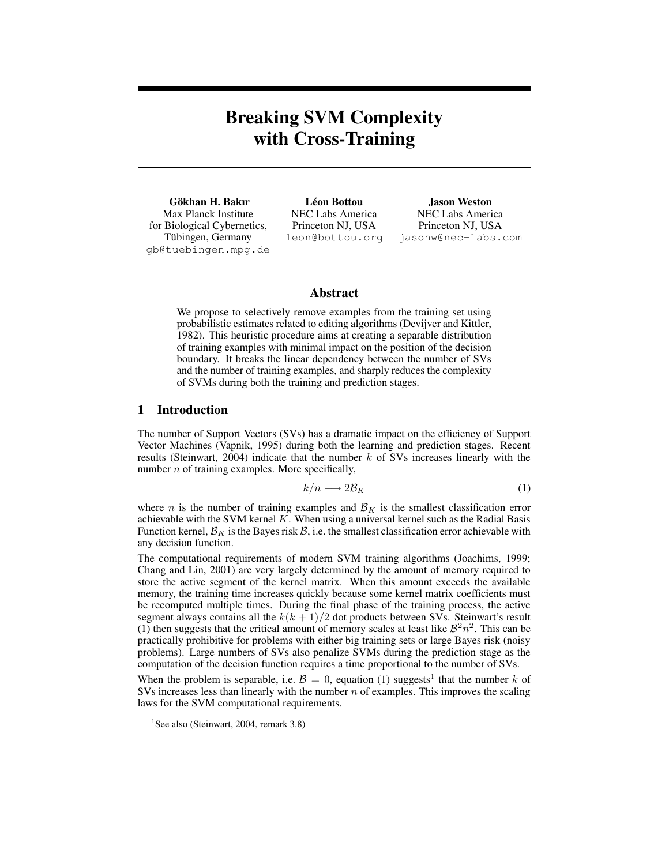# **Breaking SVM Complexity with Cross-Training**

**Gokhan H. Bakır ¨** Max Planck Institute for Biological Cybernetics, Tübingen, Germany gb@tuebingen.mpg.de

**Leon Bottou ´** NEC Labs America Princeton NJ, USA leon@bottou.org

**Jason Weston** NEC Labs America Princeton NJ, USA jasonw@nec-labs.com

# **Abstract**

We propose to selectively remove examples from the training set using probabilistic estimates related to editing algorithms (Devijver and Kittler, 1982). This heuristic procedure aims at creating a separable distribution of training examples with minimal impact on the position of the decision boundary. It breaks the linear dependency between the number of SVs and the number of training examples, and sharply reduces the complexity of SVMs during both the training and prediction stages.

# **1 Introduction**

The number of Support Vectors (SVs) has a dramatic impact on the efficiency of Support Vector Machines (Vapnik, 1995) during both the learning and prediction stages. Recent results (Steinwart, 2004) indicate that the number  $k$  of SVs increases linearly with the number  $n$  of training examples. More specifically,

$$
k/n \longrightarrow 2\mathcal{B}_K \tag{1}
$$

where *n* is the number of training examples and  $\mathcal{B}_K$  is the smallest classification error achievable with the SVM kernel  $K$ . When using a universal kernel such as the Radial Basis Function kernel,  $\mathcal{B}_K$  is the Bayes risk  $\mathcal{B}$ , i.e. the smallest classification error achievable with any decision function.

The computational requirements of modern SVM training algorithms (Joachims, 1999; Chang and Lin, 2001) are very largely determined by the amount of memory required to store the active segment of the kernel matrix. When this amount exceeds the available memory, the training time increases quickly because some kernel matrix coefficients must be recomputed multiple times. During the final phase of the training process, the active segment always contains all the  $k(k + 1)/2$  dot products between SVs. Steinwart's result (1) then suggests that the critical amount of memory scales at least like  $\mathcal{B}^2 n^2$ . This can be practically prohibitive for problems with either big training sets or large Bayes risk (noisy problems). Large numbers of SVs also penalize SVMs during the prediction stage as the computation of the decision function requires a time proportional to the number of SVs.

When the problem is separable, i.e.  $\mathcal{B} = 0$ , equation (1) suggests<sup>1</sup> that the number k of SVs increases less than linearly with the number  $n$  of examples. This improves the scaling laws for the SVM computational requirements.

<sup>&</sup>lt;sup>1</sup>See also (Steinwart, 2004, remark 3.8)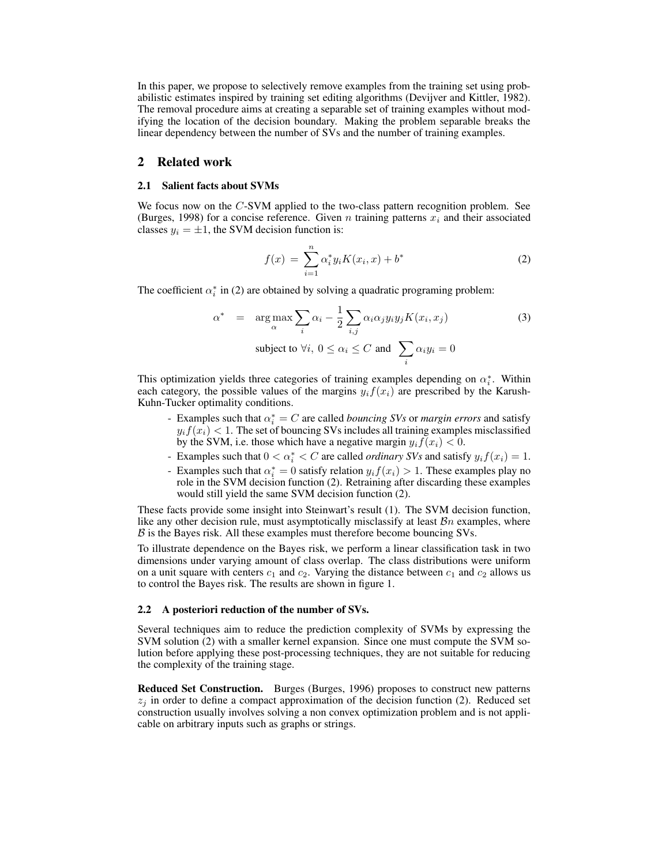In this paper, we propose to selectively remove examples from the training set using probabilistic estimates inspired by training set editing algorithms (Devijver and Kittler, 1982). The removal procedure aims at creating a separable set of training examples without modifying the location of the decision boundary. Making the problem separable breaks the linear dependency between the number of SVs and the number of training examples.

# **2 Related work**

#### **2.1 Salient facts about SVMs**

We focus now on the C-SVM applied to the two-class pattern recognition problem. See (Burges, 1998) for a concise reference. Given n training patterns  $x_i$  and their associated classes  $y_i = \pm 1$ , the SVM decision function is:

$$
f(x) = \sum_{i=1}^{n} \alpha_i^* y_i K(x_i, x) + b^*
$$
 (2)

The coefficient  $\alpha_i^*$  in (2) are obtained by solving a quadratic programing problem:

$$
\alpha^* = \arg \max_{\alpha} \sum_{i} \alpha_i - \frac{1}{2} \sum_{i,j} \alpha_i \alpha_j y_i y_j K(x_i, x_j)
$$
\nsubject to  $\forall i, 0 \leq \alpha_i \leq C$  and  $\sum_{i} \alpha_i y_i = 0$ 

\n(3)

This optimization yields three categories of training examples depending on  $\alpha_i^*$ . Within each category, the possible values of the margins  $y_i f(x_i)$  are prescribed by the Karush-Kuhn-Tucker optimality conditions.

- Examples such that  $\alpha_i^* = C$  are called *bouncing SVs* or *margin errors* and satisfy  $y_i f(x_i) < 1$ . The set of bouncing SVs includes all training examples misclassified by the SVM, i.e. those which have a negative margin  $y_i f(x_i) < 0$ .
- Examples such that  $0 < \alpha_i^* < C$  are called *ordinary SVs* and satisfy  $y_i f(x_i) = 1$ .
- Examples such that  $\alpha_i^* = 0$  satisfy relation  $y_i f(x_i) > 1$ . These examples play no role in the SVM decision function (2). Retraining after discarding these examples would still yield the same SVM decision function (2).

These facts provide some insight into Steinwart's result (1). The SVM decision function, like any other decision rule, must asymptotically misclassify at least  $\mathcal{B}n$  examples, where  $\beta$  is the Bayes risk. All these examples must therefore become bouncing SVs.

To illustrate dependence on the Bayes risk, we perform a linear classification task in two dimensions under varying amount of class overlap. The class distributions were uniform on a unit square with centers  $c_1$  and  $c_2$ . Varying the distance between  $c_1$  and  $c_2$  allows us to control the Bayes risk. The results are shown in figure 1.

#### **2.2 A posteriori reduction of the number of SVs.**

Several techniques aim to reduce the prediction complexity of SVMs by expressing the SVM solution (2) with a smaller kernel expansion. Since one must compute the SVM solution before applying these post-processing techniques, they are not suitable for reducing the complexity of the training stage.

**Reduced Set Construction.** Burges (Burges, 1996) proposes to construct new patterns  $z_i$  in order to define a compact approximation of the decision function (2). Reduced set construction usually involves solving a non convex optimization problem and is not applicable on arbitrary inputs such as graphs or strings.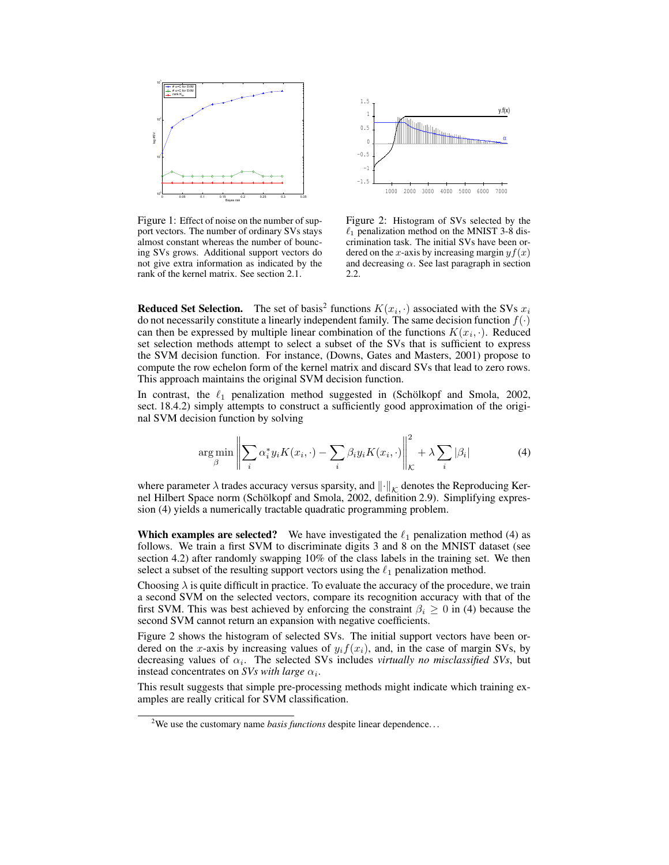

Figure 1: Effect of noise on the number of support vectors. The number of ordinary SVs stays almost constant whereas the number of bouncing SVs grows. Additional support vectors do not give extra information as indicated by the rank of the kernel matrix. See section 2.1.



Figure 2: Histogram of SVs selected by the  $\ell_1$  penalization method on the MNIST 3-8 discrimination task. The initial SVs have been ordered on the x-axis by increasing margin  $y f(x)$ and decreasing  $\alpha$ . See last paragraph in section 2.2.

**Reduced Set Selection.** The set of basis<sup>2</sup> functions  $K(x_i, \cdot)$  associated with the SVs  $x_i$ do not necessarily constitute a linearly independent family. The same decision function  $f(\cdot)$ can then be expressed by multiple linear combination of the functions  $K(x_i, \cdot)$ . Reduced set selection methods attempt to select a subset of the SVs that is sufficient to express the SVM decision function. For instance, (Downs, Gates and Masters, 2001) propose to compute the row echelon form of the kernel matrix and discard SVs that lead to zero rows. This approach maintains the original SVM decision function.

In contrast, the  $\ell_1$  penalization method suggested in (Schölkopf and Smola, 2002, sect. 18.4.2) simply attempts to construct a sufficiently good approximation of the original SVM decision function by solving

$$
\arg\min_{\beta} \left\| \sum_{i} \alpha_i^* y_i K(x_i, \cdot) - \sum_{i} \beta_i y_i K(x_i, \cdot) \right\|_{\mathcal{K}}^2 + \lambda \sum_{i} |\beta_i| \tag{4}
$$

where parameter  $\lambda$  trades accuracy versus sparsity, and  $\|\cdot\|_{\mathcal{K}}$  denotes the Reproducing Kernel Hilbert Space norm (Schölkopf and Smola, 2002, definition 2.9). Simplifying expression (4) yields a numerically tractable quadratic programming problem.

**Which examples are selected?** We have investigated the  $\ell_1$  penalization method (4) as follows. We train a first SVM to discriminate digits 3 and 8 on the MNIST dataset (see section 4.2) after randomly swapping 10% of the class labels in the training set. We then select a subset of the resulting support vectors using the  $\ell_1$  penalization method.

Choosing  $\lambda$  is quite difficult in practice. To evaluate the accuracy of the procedure, we train a second SVM on the selected vectors, compare its recognition accuracy with that of the first SVM. This was best achieved by enforcing the constraint  $\beta_i \geq 0$  in (4) because the second SVM cannot return an expansion with negative coefficients.

Figure 2 shows the histogram of selected SVs. The initial support vectors have been ordered on the x-axis by increasing values of  $y_i f(x_i)$ , and, in the case of margin SVs, by decreasing values of  $\alpha_i$ . The selected SVs includes *virtually no misclassified SVs*, but instead concentrates on *SVs with large*  $\alpha_i$ .

This result suggests that simple pre-processing methods might indicate which training examples are really critical for SVM classification.

<sup>&</sup>lt;sup>2</sup>We use the customary name *basis functions* despite linear dependence...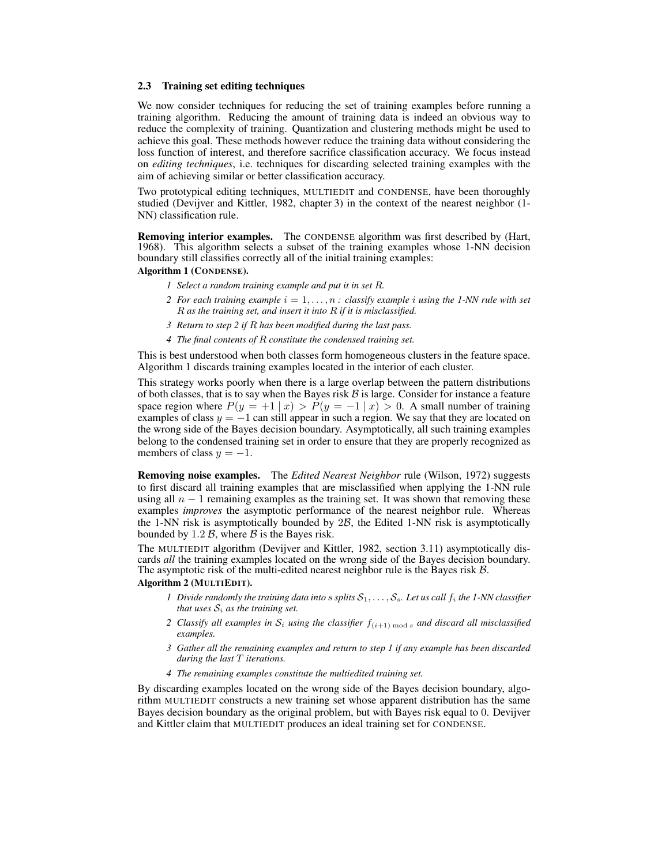#### **2.3 Training set editing techniques**

We now consider techniques for reducing the set of training examples before running a training algorithm. Reducing the amount of training data is indeed an obvious way to reduce the complexity of training. Quantization and clustering methods might be used to achieve this goal. These methods however reduce the training data without considering the loss function of interest, and therefore sacrifice classification accuracy. We focus instead on *editing techniques*, i.e. techniques for discarding selected training examples with the aim of achieving similar or better classification accuracy.

Two prototypical editing techniques, MULTIEDIT and CONDENSE, have been thoroughly studied (Devijver and Kittler, 1982, chapter 3) in the context of the nearest neighbor (1- NN) classification rule.

**Removing interior examples.** The CONDENSE algorithm was first described by (Hart, 1968). This algorithm selects a subset of the training examples whose 1-NN decision boundary still classifies correctly all of the initial training examples:

**Algorithm 1 (CONDENSE).**

- *1 Select a random training example and put it in set* R*.*
- *2 For each training example*  $i = 1, \ldots, n$  *: classify example i using the 1-NN rule with set* R *as the training set, and insert it into* R *if it is misclassified.*
- *3 Return to step 2 if* R *has been modified during the last pass.*
- *4 The final contents of* R *constitute the condensed training set.*

This is best understood when both classes form homogeneous clusters in the feature space. Algorithm 1 discards training examples located in the interior of each cluster.

This strategy works poorly when there is a large overlap between the pattern distributions of both classes, that is to say when the Bayes risk  $\beta$  is large. Consider for instance a feature space region where  $P(y = +1 | x) > P(y = -1 | x) > 0$ . A small number of training examples of class  $y = -1$  can still appear in such a region. We say that they are located on the wrong side of the Bayes decision boundary. Asymptotically, all such training examples belong to the condensed training set in order to ensure that they are properly recognized as members of class  $y = -1$ .

**Removing noise examples.** The *Edited Nearest Neighbor* rule (Wilson, 1972) suggests to first discard all training examples that are misclassified when applying the 1-NN rule using all  $n - 1$  remaining examples as the training set. It was shown that removing these examples *improves* the asymptotic performance of the nearest neighbor rule. Whereas the 1-NN risk is asymptotically bounded by  $2B$ , the Edited 1-NN risk is asymptotically bounded by  $1.2 \, \mathcal{B}$ , where  $\mathcal{B}$  is the Bayes risk.

The MULTIEDIT algorithm (Devijver and Kittler, 1982, section 3.11) asymptotically discards *all* the training examples located on the wrong side of the Bayes decision boundary. The asymptotic risk of the multi-edited nearest neighbor rule is the Bayes risk  $\beta$ .

## **Algorithm 2 (MULTIEDIT).**

- *1 Divide randomly the training data into s splits*  $S_1, \ldots, S_s$ . Let us call  $f_i$  the 1-NN classifier *that uses*  $S_i$  *as the training set.*
- *2 Classify all examples in*  $S_i$  *using the classifier*  $f_{(i+1) \mod s}$  *and discard all misclassified examples.*
- *3 Gather all the remaining examples and return to step 1 if any example has been discarded during the last* T *iterations.*
- *4 The remaining examples constitute the multiedited training set.*

By discarding examples located on the wrong side of the Bayes decision boundary, algorithm MULTIEDIT constructs a new training set whose apparent distribution has the same Bayes decision boundary as the original problem, but with Bayes risk equal to 0. Devijver and Kittler claim that MULTIEDIT produces an ideal training set for CONDENSE.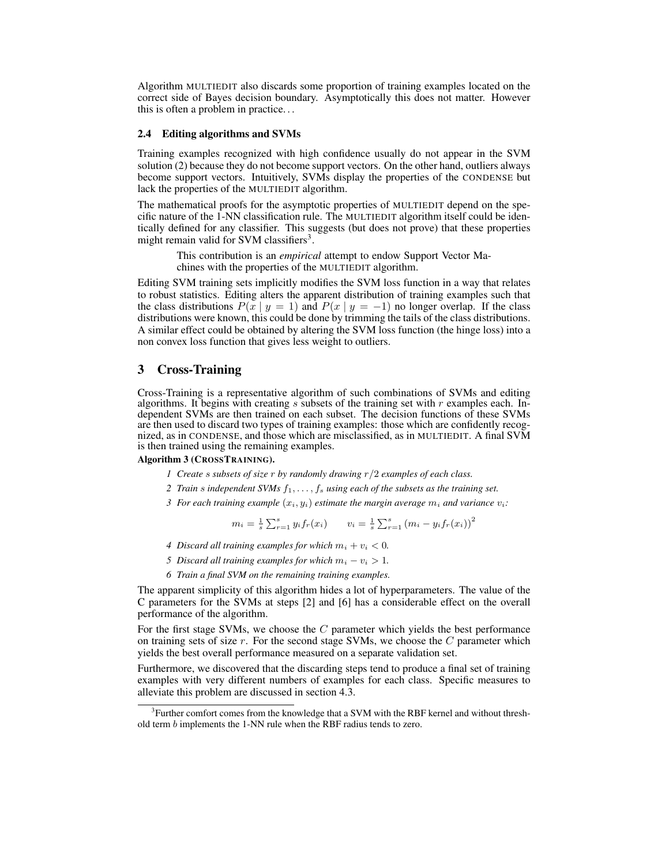Algorithm MULTIEDIT also discards some proportion of training examples located on the correct side of Bayes decision boundary. Asymptotically this does not matter. However this is often a problem in practice. . .

#### **2.4 Editing algorithms and SVMs**

Training examples recognized with high confidence usually do not appear in the SVM solution (2) because they do not become support vectors. On the other hand, outliers always become support vectors. Intuitively, SVMs display the properties of the CONDENSE but lack the properties of the MULTIEDIT algorithm.

The mathematical proofs for the asymptotic properties of MULTIEDIT depend on the specific nature of the 1-NN classification rule. The MULTIEDIT algorithm itself could be identically defined for any classifier. This suggests (but does not prove) that these properties might remain valid for SVM classifiers<sup>3</sup>.

> This contribution is an *empirical* attempt to endow Support Vector Machines with the properties of the MULTIEDIT algorithm.

Editing SVM training sets implicitly modifies the SVM loss function in a way that relates to robust statistics. Editing alters the apparent distribution of training examples such that the class distributions  $P(x | y = 1)$  and  $P(x | y = -1)$  no longer overlap. If the class distributions were known, this could be done by trimming the tails of the class distributions. A similar effect could be obtained by altering the SVM loss function (the hinge loss) into a non convex loss function that gives less weight to outliers.

# **3 Cross-Training**

Cross-Training is a representative algorithm of such combinations of SVMs and editing algorithms. It begins with creating  $s$  subsets of the training set with  $r$  examples each. Independent SVMs are then trained on each subset. The decision functions of these SVMs are then used to discard two types of training examples: those which are confidently recognized, as in CONDENSE, and those which are misclassified, as in MULTIEDIT. A final SVM is then trained using the remaining examples.

#### **Algorithm 3 (CROSSTRAINING).**

- *1 Create* s *subsets of size* r *by randomly drawing* r/2 *examples of each class.*
- *2 Train* s *independent SVMs* f1, . . . , f<sup>s</sup> *using each of the subsets as the training set.*
- *3 For each training example*  $(x_i, y_i)$  *estimate the margin average*  $m_i$  *and variance*  $v_i$ *:*

$$
m_i = \frac{1}{s} \sum_{r=1}^s y_i f_r(x_i) \qquad v_i = \frac{1}{s} \sum_{r=1}^s (m_i - y_i f_r(x_i))^2
$$

- *4 Discard all training examples for which*  $m_i + v_i < 0$ .
- *5 Discard all training examples for which*  $m_i v_i > 1$ .
- *6 Train a final SVM on the remaining training examples.*

The apparent simplicity of this algorithm hides a lot of hyperparameters. The value of the C parameters for the SVMs at steps [2] and [6] has a considerable effect on the overall performance of the algorithm.

For the first stage SVMs, we choose the C parameter which yields the best performance on training sets of size  $r$ . For the second stage SVMs, we choose the  $C$  parameter which yields the best overall performance measured on a separate validation set.

Furthermore, we discovered that the discarding steps tend to produce a final set of training examples with very different numbers of examples for each class. Specific measures to alleviate this problem are discussed in section 4.3.

<sup>&</sup>lt;sup>3</sup>Further comfort comes from the knowledge that a SVM with the RBF kernel and without threshold term b implements the 1-NN rule when the RBF radius tends to zero.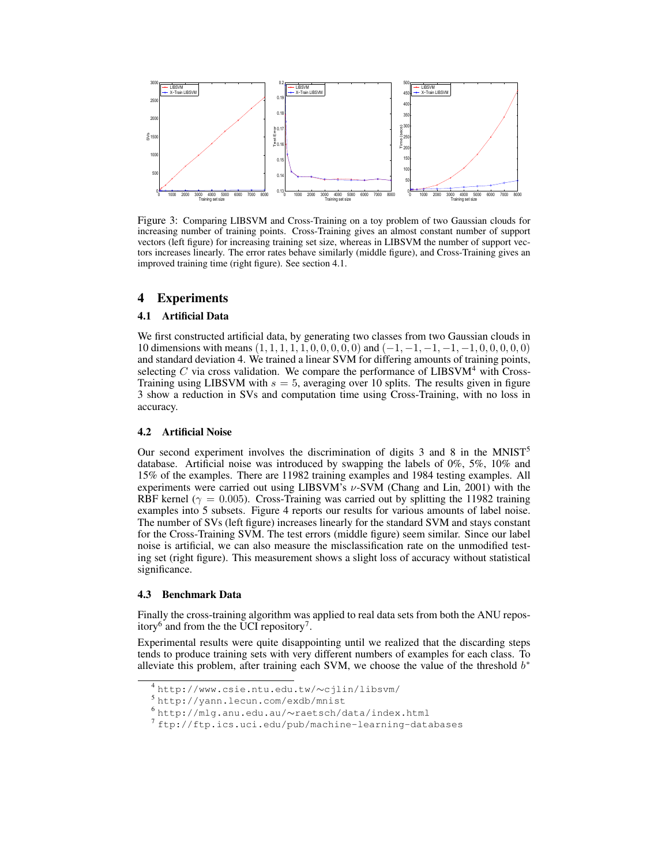

Figure 3: Comparing LIBSVM and Cross-Training on a toy problem of two Gaussian clouds for increasing number of training points. Cross-Training gives an almost constant number of support vectors (left figure) for increasing training set size, whereas in LIBSVM the number of support vectors increases linearly. The error rates behave similarly (middle figure), and Cross-Training gives an improved training time (right figure). See section 4.1.

# **4 Experiments**

## **4.1 Artificial Data**

We first constructed artificial data, by generating two classes from two Gaussian clouds in 10 dimensions with means  $(1, 1, 1, 1, 1, 0, 0, 0, 0, 0)$  and  $(-1, -1, -1, -1, -1, 0, 0, 0, 0, 0)$ and standard deviation 4. We trained a linear SVM for differing amounts of training points, selecting C via cross validation. We compare the performance of  $LIBSVM<sup>4</sup>$  with Cross-Training using LIBSVM with  $s = 5$ , averaging over 10 splits. The results given in figure 3 show a reduction in SVs and computation time using Cross-Training, with no loss in accuracy.

## **4.2 Artificial Noise**

Our second experiment involves the discrimination of digits  $\overline{3}$  and  $\overline{8}$  in the MNIST<sup>5</sup> database. Artificial noise was introduced by swapping the labels of 0%, 5%, 10% and 15% of the examples. There are 11982 training examples and 1984 testing examples. All experiments were carried out using LIBSVM's  $\nu$ -SVM (Chang and Lin, 2001) with the RBF kernel ( $\gamma = 0.005$ ). Cross-Training was carried out by splitting the 11982 training examples into 5 subsets. Figure 4 reports our results for various amounts of label noise. The number of SVs (left figure) increases linearly for the standard SVM and stays constant for the Cross-Training SVM. The test errors (middle figure) seem similar. Since our label noise is artificial, we can also measure the misclassification rate on the unmodified testing set (right figure). This measurement shows a slight loss of accuracy without statistical significance.

## **4.3 Benchmark Data**

Finally the cross-training algorithm was applied to real data sets from both the ANU repository<sup>6</sup> and from the the UCI repository<sup>7</sup>.

Experimental results were quite disappointing until we realized that the discarding steps tends to produce training sets with very different numbers of examples for each class. To alleviate this problem, after training each SVM, we choose the value of the threshold  $b^*$ 

<sup>4</sup> http://www.csie.ntu.edu.tw/∼cjlin/libsvm/

<sup>5</sup> http://yann.lecun.com/exdb/mnist

<sup>6</sup> http://mlg.anu.edu.au/∼raetsch/data/index.html

<sup>7</sup> ftp://ftp.ics.uci.edu/pub/machine-learning-databases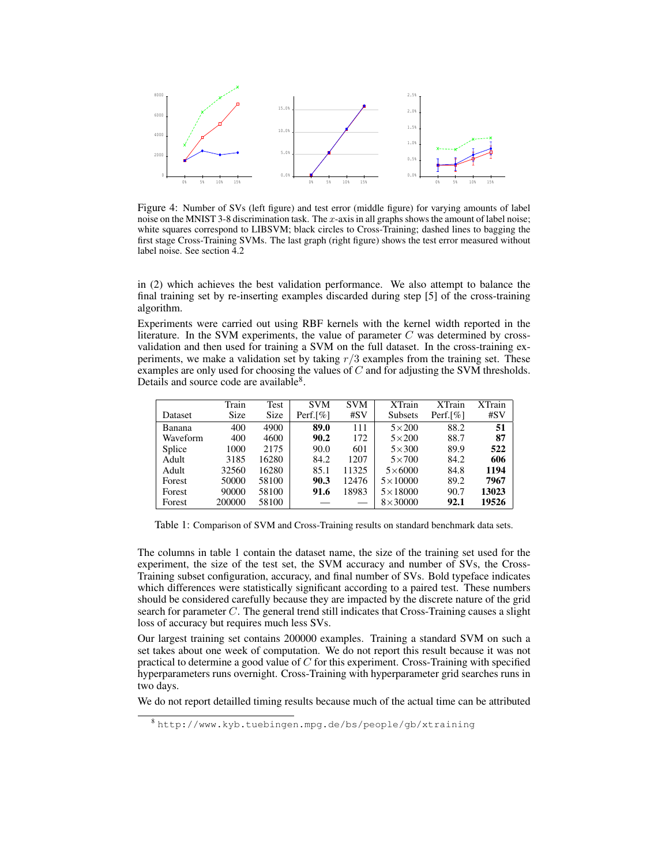

Figure 4: Number of SVs (left figure) and test error (middle figure) for varying amounts of label noise on the MNIST 3-8 discrimination task. The  $x$ -axis in all graphs shows the amount of label noise; white squares correspond to LIBSVM; black circles to Cross-Training; dashed lines to bagging the first stage Cross-Training SVMs. The last graph (right figure) shows the test error measured without label noise. See section 4.2

in (2) which achieves the best validation performance. We also attempt to balance the final training set by re-inserting examples discarded during step [5] of the cross-training algorithm.

Experiments were carried out using RBF kernels with the kernel width reported in the literature. In the SVM experiments, the value of parameter  $C$  was determined by crossvalidation and then used for training a SVM on the full dataset. In the cross-training experiments, we make a validation set by taking  $r/3$  examples from the training set. These examples are only used for choosing the values of C and for adjusting the SVM thresholds. Details and source code are available<sup>8</sup>.

|          | Train  | Test  | <b>SVM</b>  | <b>SVM</b> | <b>XTrain</b>    | $X$ Train   | <b>XTrain</b> |
|----------|--------|-------|-------------|------------|------------------|-------------|---------------|
| Dataset  | Size   | Size  | Perf. $[%]$ | #SV        | <b>Subsets</b>   | Perf. $[%]$ | #SV           |
| Banana   | 400    | 4900  | 89.0        | 111        | $5\times200$     | 88.2        | 51            |
| Waveform | 400    | 4600  | 90.2        | 172        | $5\times200$     | 88.7        | 87            |
| Splice   | 1000   | 2175  | 90.0        | 601        | $5\times300$     | 89.9        | 522           |
| Adult    | 3185   | 16280 | 84.2        | 1207       | $5\times700$     | 84.2        | 606           |
| Adult    | 32560  | 16280 | 85.1        | 11325      | $5\times6000$    | 84.8        | 1194          |
| Forest   | 50000  | 58100 | 90.3        | 12476      | $5 \times 10000$ | 89.2        | 7967          |
| Forest   | 90000  | 58100 | 91.6        | 18983      | $5 \times 18000$ | 90.7        | 13023         |
| Forest   | 200000 | 58100 |             |            | $8\times30000$   | 92.1        | 19526         |

Table 1: Comparison of SVM and Cross-Training results on standard benchmark data sets.

The columns in table 1 contain the dataset name, the size of the training set used for the experiment, the size of the test set, the SVM accuracy and number of SVs, the Cross-Training subset configuration, accuracy, and final number of SVs. Bold typeface indicates which differences were statistically significant according to a paired test. These numbers should be considered carefully because they are impacted by the discrete nature of the grid search for parameter C. The general trend still indicates that Cross-Training causes a slight loss of accuracy but requires much less SVs.

Our largest training set contains 200000 examples. Training a standard SVM on such a set takes about one week of computation. We do not report this result because it was not practical to determine a good value of  $C$  for this experiment. Cross-Training with specified hyperparameters runs overnight. Cross-Training with hyperparameter grid searches runs in two days.

We do not report detailled timing results because much of the actual time can be attributed

<sup>8</sup> http://www.kyb.tuebingen.mpg.de/bs/people/gb/xtraining